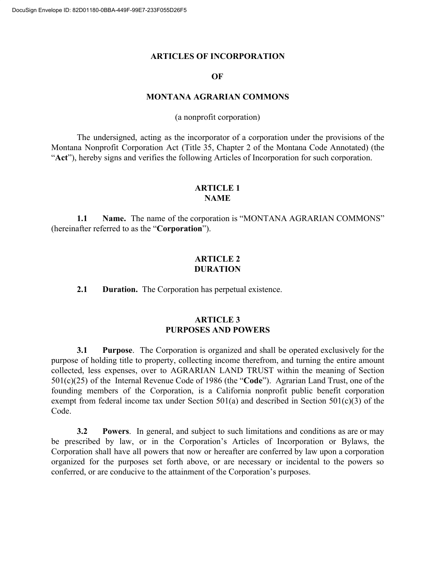#### **ARTICLES OF INCORPORATION**

#### **OF**

#### **MONTANA AGRARIAN COMMONS**

(a nonprofit corporation)

The undersigned, acting as the incorporator of a corporation under the provisions of the Montana Nonprofit Corporation Act (Title 35, Chapter 2 of the Montana Code Annotated) (the "**Act**"), hereby signs and verifies the following Articles of Incorporation for such corporation.

### **ARTICLE 1 NAME**

**1.1 Name.** The name of the corporation is "MONTANA AGRARIAN COMMONS" (hereinafter referred to as the "**Corporation**").

## **ARTICLE 2 DURATION**

**2.1 Duration.** The Corporation has perpetual existence.

## **ARTICLE 3 PURPOSES AND POWERS**

**3.1 Purpose**. The Corporation is organized and shall be operated exclusively for the purpose of holding title to property, collecting income therefrom, and turning the entire amount collected, less expenses, over to AGRARIAN LAND TRUST within the meaning of Section 501(c)(25) of the Internal Revenue Code of 1986 (the "**Code**"). Agrarian Land Trust, one of the founding members of the Corporation, is a California nonprofit public benefit corporation exempt from federal income tax under Section 501(a) and described in Section 501(c)(3) of the Code.

**3.2 Powers**. In general, and subject to such limitations and conditions as are or may be prescribed by law, or in the Corporation's Articles of Incorporation or Bylaws, the Corporation shall have all powers that now or hereafter are conferred by law upon a corporation organized for the purposes set forth above, or are necessary or incidental to the powers so conferred, or are conducive to the attainment of the Corporation's purposes.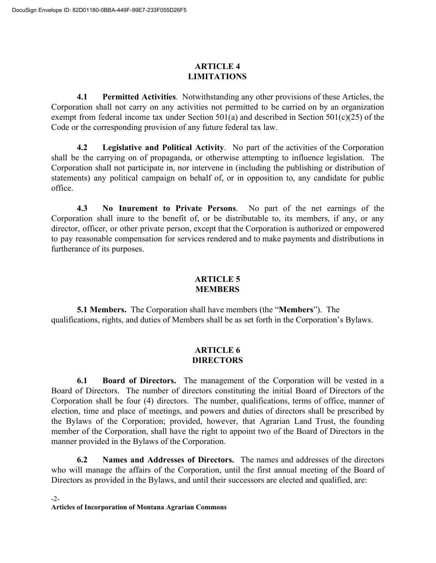# **ARTICLE 4 LIMITATIONS**

**4.1 Permitted Activities**. Notwithstanding any other provisions of these Articles, the Corporation shall not carry on any activities not permitted to be carried on by an organization exempt from federal income tax under Section 501(a) and described in Section 501(c)(25) of the Code or the corresponding provision of any future federal tax law.

**4.2 Legislative and Political Activity**. No part of the activities of the Corporation shall be the carrying on of propaganda, or otherwise attempting to influence legislation. The Corporation shall not participate in, nor intervene in (including the publishing or distribution of statements) any political campaign on behalf of, or in opposition to, any candidate for public office.

**4.3 No Inurement to Private Persons**. No part of the net earnings of the Corporation shall inure to the benefit of, or be distributable to, its members, if any, or any director, officer, or other private person, except that the Corporation is authorized or empowered to pay reasonable compensation for services rendered and to make payments and distributions in furtherance of its purposes.

## **ARTICLE 5 MEMBERS**

**5.1 Members.** The Corporation shall have members (the "**Members**"). The qualifications, rights, and duties of Members shall be as set forth in the Corporation's Bylaws.

## **ARTICLE 6 DIRECTORS**

**6.1 Board of Directors.** The management of the Corporation will be vested in a Board of Directors. The number of directors constituting the initial Board of Directors of the Corporation shall be four (4) directors. The number, qualifications, terms of office, manner of election, time and place of meetings, and powers and duties of directors shall be prescribed by the Bylaws of the Corporation; provided, however, that Agrarian Land Trust, the founding member of the Corporation, shall have the right to appoint two of the Board of Directors in the manner provided in the Bylaws of the Corporation.

**6.2 Names and Addresses of Directors.** The names and addresses of the directors who will manage the affairs of the Corporation, until the first annual meeting of the Board of Directors as provided in the Bylaws, and until their successors are elected and qualified, are: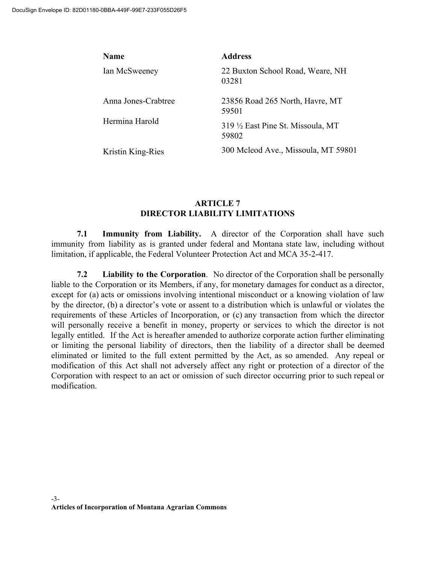| Name                | <b>Address</b>                            |  |  |
|---------------------|-------------------------------------------|--|--|
| Ian McSweeney       | 22 Buxton School Road, Weare, NH<br>03281 |  |  |
| Anna Jones-Crabtree | 23856 Road 265 North, Havre, MT<br>59501  |  |  |
| Hermina Harold      | 319 ½ East Pine St. Missoula, MT<br>59802 |  |  |
| Kristin King-Ries   | 300 Mcleod Ave., Missoula, MT 59801       |  |  |

## **ARTICLE 7 DIRECTOR LIABILITY LIMITATIONS**

**7.1 Immunity from Liability.** A director of the Corporation shall have such immunity from liability as is granted under federal and Montana state law, including without limitation, if applicable, the Federal Volunteer Protection Act and MCA 35-2-417.

**7.2 Liability to the Corporation**. No director of the Corporation shall be personally liable to the Corporation or its Members, if any, for monetary damages for conduct as a director, except for (a) acts or omissions involving intentional misconduct or a knowing violation of law by the director, (b) a director's vote or assent to a distribution which is unlawful or violates the requirements of these Articles of Incorporation, or (c) any transaction from which the director will personally receive a benefit in money, property or services to which the director is not legally entitled. If the Act is hereafter amended to authorize corporate action further eliminating or limiting the personal liability of directors, then the liability of a director shall be deemed eliminated or limited to the full extent permitted by the Act, as so amended. Any repeal or modification of this Act shall not adversely affect any right or protection of a director of the Corporation with respect to an act or omission of such director occurring prior to such repeal or modification.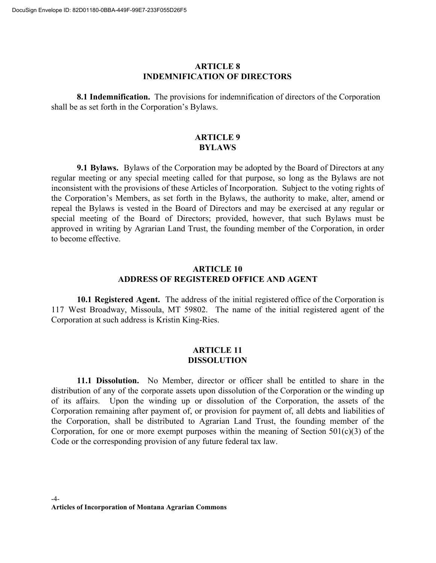### **ARTICLE 8 INDEMNIFICATION OF DIRECTORS**

**8.1 Indemnification.** The provisions for indemnification of directors of the Corporation shall be as set forth in the Corporation's Bylaws.

## **ARTICLE 9 BYLAWS**

**9.1 Bylaws.** Bylaws of the Corporation may be adopted by the Board of Directors at any regular meeting or any special meeting called for that purpose, so long as the Bylaws are not inconsistent with the provisions of these Articles of Incorporation. Subject to the voting rights of the Corporation's Members, as set forth in the Bylaws, the authority to make, alter, amend or repeal the Bylaws is vested in the Board of Directors and may be exercised at any regular or special meeting of the Board of Directors; provided, however, that such Bylaws must be approved in writing by Agrarian Land Trust, the founding member of the Corporation, in order to become effective.

## **ARTICLE 10 ADDRESS OF REGISTERED OFFICE AND AGENT**

**10.1 Registered Agent.** The address of the initial registered office of the Corporation is 117 West Broadway, Missoula, MT 59802. The name of the initial registered agent of the Corporation at such address is Kristin King-Ries.

### **ARTICLE 11 DISSOLUTION**

**11.1 Dissolution.** No Member, director or officer shall be entitled to share in the distribution of any of the corporate assets upon dissolution of the Corporation or the winding up of its affairs. Upon the winding up or dissolution of the Corporation, the assets of the Corporation remaining after payment of, or provision for payment of, all debts and liabilities of the Corporation, shall be distributed to Agrarian Land Trust, the founding member of the Corporation, for one or more exempt purposes within the meaning of Section  $501(c)(3)$  of the Code or the corresponding provision of any future federal tax law.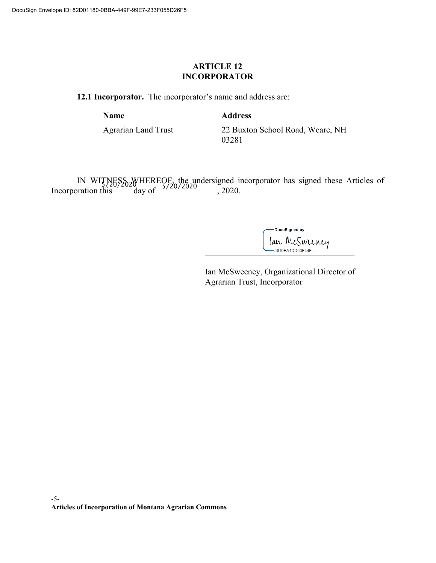## **ARTICLE 12 INCORPORATOR**

**12.1 Incorporator.** The incorporator's name and address are:

**Name Address**

Agrarian Land Trust 22 Buxton School Road, Weare, NH 03281

IN WITNESS WHEREOF, the undersigned incorporator has signed these Articles of Incorporation this  $\frac{1}{20}$  day of  $\frac{5}{20}$ , 2020.

> -DocuSigned by: lan McSweeney

Ian McSweeney, Organizational Director of Agrarian Trust, Incorporator